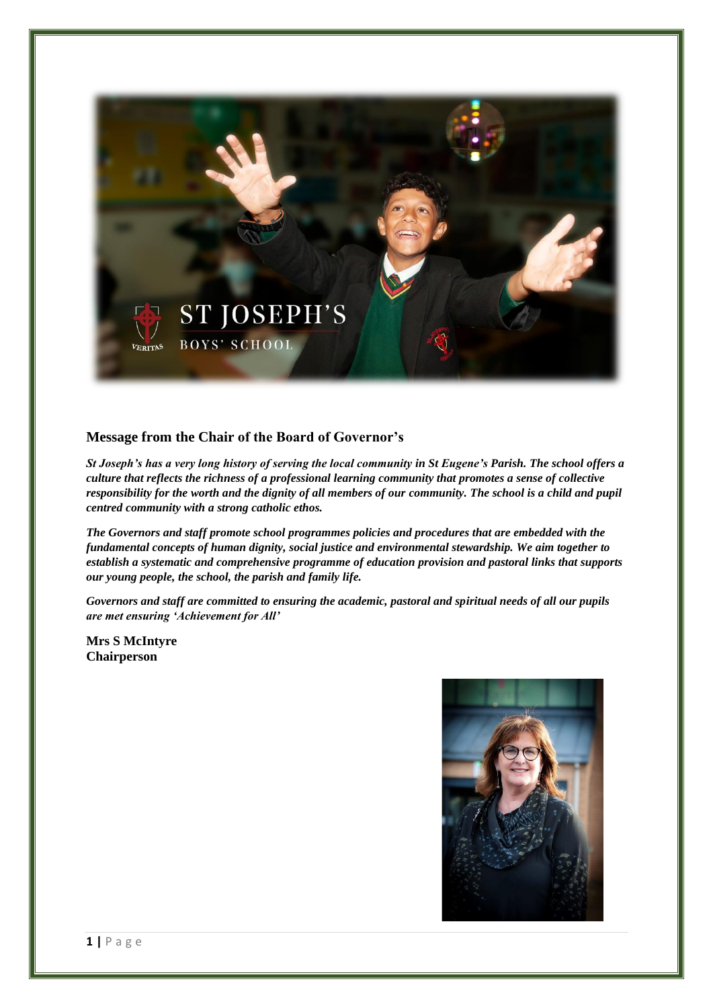

# **Message from the Chair of the Board of Governor's**

*St Joseph's has a very long history of serving the local community in St Eugene's Parish. The school offers a culture that reflects the richness of a professional learning community that promotes a sense of collective responsibility for the worth and the dignity of all members of our community. The school is a child and pupil centred community with a strong catholic ethos.*

*The Governors and staff promote school programmes policies and procedures that are embedded with the fundamental concepts of human dignity, social justice and environmental stewardship. We aim together to establish a systematic and comprehensive programme of education provision and pastoral links that supports our young people, the school, the parish and family life.*

*Governors and staff are committed to ensuring the academic, pastoral and spiritual needs of all our pupils are met ensuring 'Achievement for All'*

**Mrs S McIntyre Chairperson**

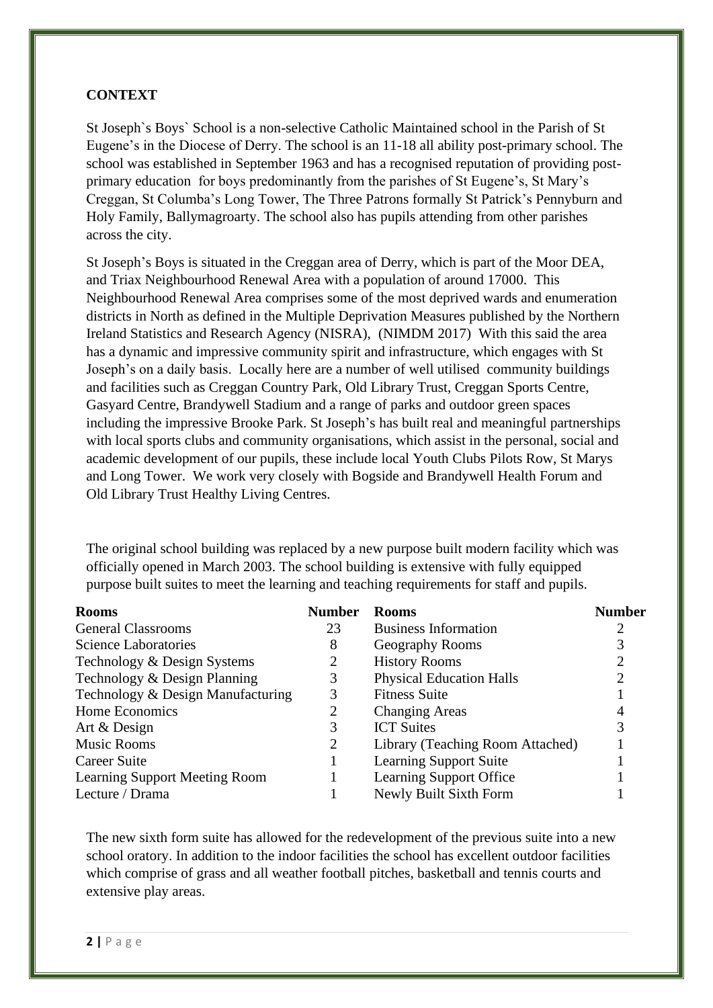# **CONTEXT**

St Joseph`s Boys` School is a non-selective Catholic Maintained school in the Parish of St Eugene's in the Diocese of Derry. The school is an 11-18 all ability post-primary school. The school was established in September 1963 and has a recognised reputation of providing postprimary education for boys predominantly from the parishes of St Eugene's, St Mary's Creggan, St Columba's Long Tower, The Three Patrons formally St Patrick's Pennyburn and Holy Family, Ballymagroarty. The school also has pupils attending from other parishes across the city.

St Joseph's Boys is situated in the Creggan area of Derry, which is part of the Moor DEA, and Triax Neighbourhood Renewal Area with a population of around 17000. This Neighbourhood Renewal Area comprises some of the most deprived wards and enumeration districts in North as defined in the Multiple Deprivation Measures published by the Northern Ireland Statistics and Research Agency (NISRA), (NIMDM 2017) With this said the area has a dynamic and impressive community spirit and infrastructure, which engages with St Joseph's on a daily basis. Locally here are a number of well utilised community buildings and facilities such as Creggan Country Park, Old Library Trust, Creggan Sports Centre, Gasyard Centre, Brandywell Stadium and a range of parks and outdoor green spaces including the impressive Brooke Park. St Joseph's has built real and meaningful partnerships with local sports clubs and community organisations, which assist in the personal, social and academic development of our pupils, these include local Youth Clubs Pilots Row, St Marys and Long Tower. We work very closely with Bogside and Brandywell Health Forum and Old Library Trust Healthy Living Centres.

The original school building was replaced by a new purpose built modern facility which was officially opened in March 2003. The school building is extensive with fully equipped purpose built suites to meet the learning and teaching requirements for staff and pupils.

| <b>Rooms</b>                         | <b>Number</b> | <b>Rooms</b>                     | <b>Number</b> |
|--------------------------------------|---------------|----------------------------------|---------------|
| <b>General Classrooms</b>            | 23            | <b>Business Information</b>      |               |
| <b>Science Laboratories</b>          | 8             | Geography Rooms                  |               |
| Technology & Design Systems          | 2             | <b>History Rooms</b>             |               |
| Technology & Design Planning         | 3             | <b>Physical Education Halls</b>  |               |
| Technology & Design Manufacturing    | 3             | <b>Fitness Suite</b>             |               |
| Home Economics                       | 2             | <b>Changing Areas</b>            |               |
| Art & Design                         | 3             | <b>ICT</b> Suites                |               |
| <b>Music Rooms</b>                   | 2             | Library (Teaching Room Attached) |               |
| Career Suite                         |               | <b>Learning Support Suite</b>    |               |
| <b>Learning Support Meeting Room</b> |               | Learning Support Office          |               |
| Lecture / Drama                      |               | Newly Built Sixth Form           |               |

The new sixth form suite has allowed for the redevelopment of the previous suite into a new school oratory. In addition to the indoor facilities the school has excellent outdoor facilities which comprise of grass and all weather football pitches, basketball and tennis courts and extensive play areas.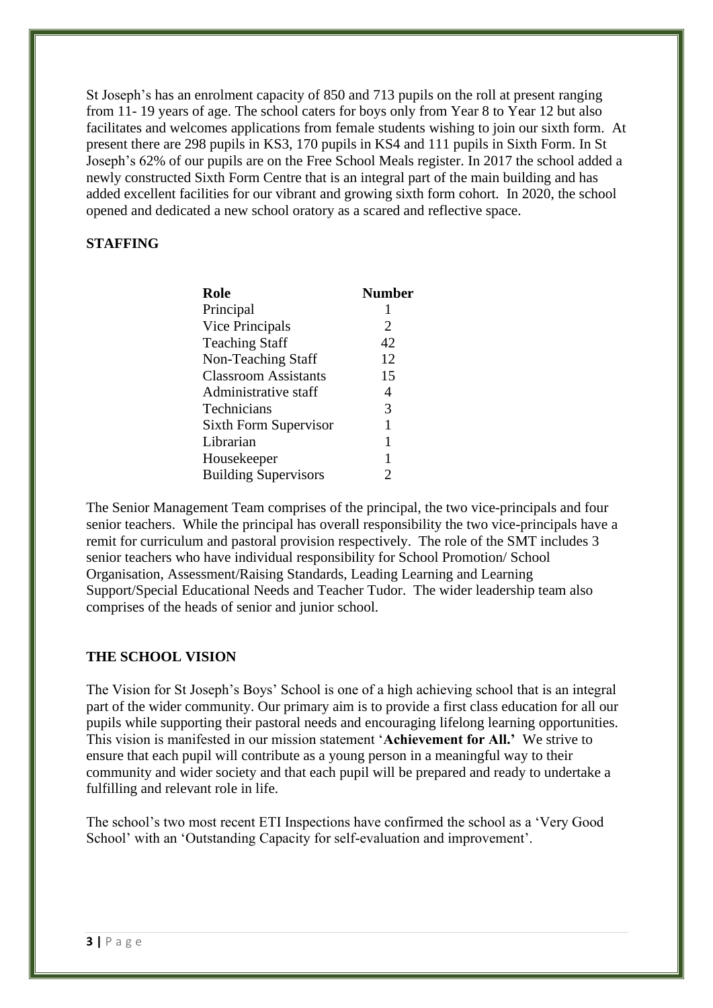St Joseph's has an enrolment capacity of 850 and 713 pupils on the roll at present ranging from 11- 19 years of age. The school caters for boys only from Year 8 to Year 12 but also facilitates and welcomes applications from female students wishing to join our sixth form. At present there are 298 pupils in KS3, 170 pupils in KS4 and 111 pupils in Sixth Form. In St Joseph's 62% of our pupils are on the Free School Meals register. In 2017 the school added a newly constructed Sixth Form Centre that is an integral part of the main building and has added excellent facilities for our vibrant and growing sixth form cohort. In 2020, the school opened and dedicated a new school oratory as a scared and reflective space.

# **STAFFING**

| <b>Role</b>                  | <b>Number</b> |
|------------------------------|---------------|
| Principal                    | 1             |
| Vice Principals              | 2             |
| <b>Teaching Staff</b>        | 42            |
| Non-Teaching Staff           | 12            |
| <b>Classroom Assistants</b>  | 15            |
| Administrative staff         | 4             |
| Technicians                  | 3             |
| <b>Sixth Form Supervisor</b> | 1             |
| Librarian                    | 1             |
| Housekeeper                  | 1             |
| <b>Building Supervisors</b>  | 2             |

The Senior Management Team comprises of the principal, the two vice-principals and four senior teachers. While the principal has overall responsibility the two vice-principals have a remit for curriculum and pastoral provision respectively. The role of the SMT includes 3 senior teachers who have individual responsibility for School Promotion/ School Organisation, Assessment/Raising Standards, Leading Learning and Learning Support/Special Educational Needs and Teacher Tudor. The wider leadership team also comprises of the heads of senior and junior school.

#### **THE SCHOOL VISION**

The Vision for St Joseph's Boys' School is one of a high achieving school that is an integral part of the wider community. Our primary aim is to provide a first class education for all our pupils while supporting their pastoral needs and encouraging lifelong learning opportunities. This vision is manifested in our mission statement '**Achievement for All.'** We strive to ensure that each pupil will contribute as a young person in a meaningful way to their community and wider society and that each pupil will be prepared and ready to undertake a fulfilling and relevant role in life.

The school's two most recent ETI Inspections have confirmed the school as a 'Very Good School' with an 'Outstanding Capacity for self-evaluation and improvement'.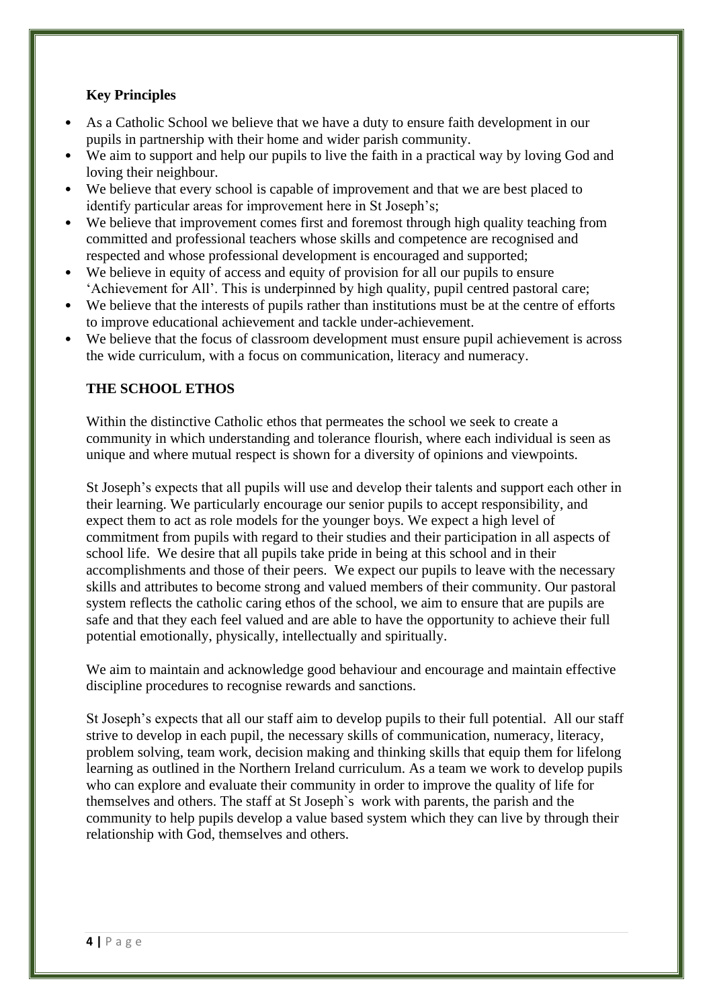# **Key Principles**

- As a Catholic School we believe that we have a duty to ensure faith development in our pupils in partnership with their home and wider parish community.
- We aim to support and help our pupils to live the faith in a practical way by loving God and loving their neighbour.
- We believe that every school is capable of improvement and that we are best placed to identify particular areas for improvement here in St Joseph's;
- We believe that improvement comes first and foremost through high quality teaching from committed and professional teachers whose skills and competence are recognised and respected and whose professional development is encouraged and supported;
- We believe in equity of access and equity of provision for all our pupils to ensure 'Achievement for All'. This is underpinned by high quality, pupil centred pastoral care;
- We believe that the interests of pupils rather than institutions must be at the centre of efforts to improve educational achievement and tackle under-achievement.
- We believe that the focus of classroom development must ensure pupil achievement is across the wide curriculum, with a focus on communication, literacy and numeracy.

## **THE SCHOOL ETHOS**

Within the distinctive Catholic ethos that permeates the school we seek to create a community in which understanding and tolerance flourish, where each individual is seen as unique and where mutual respect is shown for a diversity of opinions and viewpoints.

St Joseph's expects that all pupils will use and develop their talents and support each other in their learning. We particularly encourage our senior pupils to accept responsibility, and expect them to act as role models for the younger boys. We expect a high level of commitment from pupils with regard to their studies and their participation in all aspects of school life. We desire that all pupils take pride in being at this school and in their accomplishments and those of their peers. We expect our pupils to leave with the necessary skills and attributes to become strong and valued members of their community. Our pastoral system reflects the catholic caring ethos of the school, we aim to ensure that are pupils are safe and that they each feel valued and are able to have the opportunity to achieve their full potential emotionally, physically, intellectually and spiritually.

We aim to maintain and acknowledge good behaviour and encourage and maintain effective discipline procedures to recognise rewards and sanctions.

St Joseph's expects that all our staff aim to develop pupils to their full potential. All our staff strive to develop in each pupil, the necessary skills of communication, numeracy, literacy, problem solving, team work, decision making and thinking skills that equip them for lifelong learning as outlined in the Northern Ireland curriculum. As a team we work to develop pupils who can explore and evaluate their community in order to improve the quality of life for themselves and others. The staff at St Joseph`s work with parents, the parish and the community to help pupils develop a value based system which they can live by through their relationship with God, themselves and others.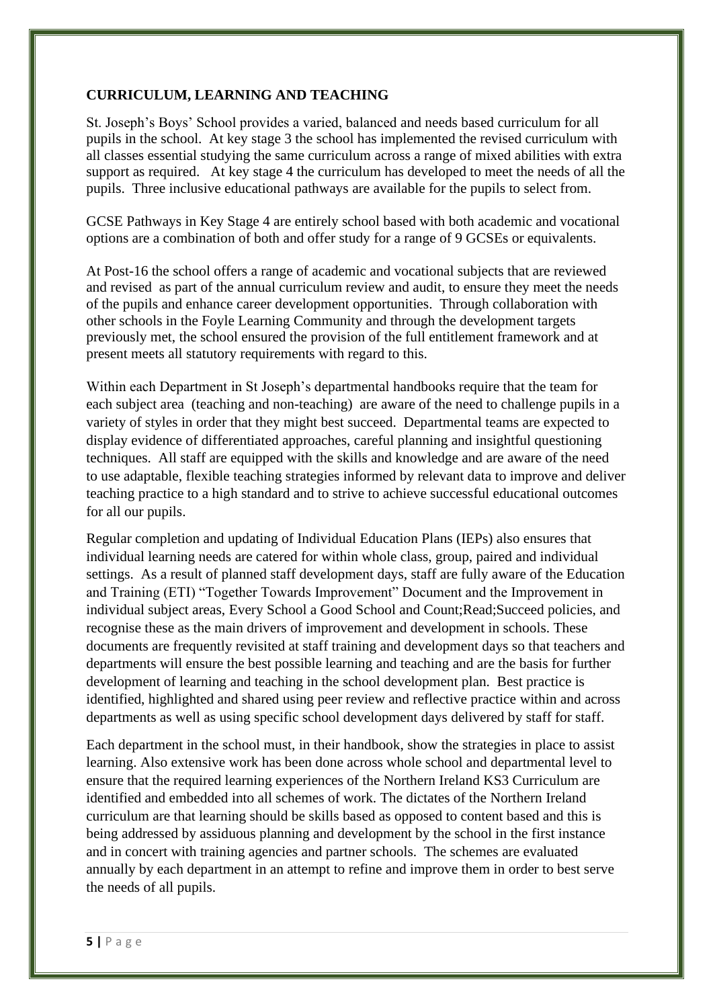# **CURRICULUM, LEARNING AND TEACHING**

St. Joseph's Boys' School provides a varied, balanced and needs based curriculum for all pupils in the school. At key stage 3 the school has implemented the revised curriculum with all classes essential studying the same curriculum across a range of mixed abilities with extra support as required. At key stage 4 the curriculum has developed to meet the needs of all the pupils. Three inclusive educational pathways are available for the pupils to select from.

GCSE Pathways in Key Stage 4 are entirely school based with both academic and vocational options are a combination of both and offer study for a range of 9 GCSEs or equivalents.

At Post-16 the school offers a range of academic and vocational subjects that are reviewed and revised as part of the annual curriculum review and audit, to ensure they meet the needs of the pupils and enhance career development opportunities. Through collaboration with other schools in the Foyle Learning Community and through the development targets previously met, the school ensured the provision of the full entitlement framework and at present meets all statutory requirements with regard to this.

Within each Department in St Joseph's departmental handbooks require that the team for each subject area (teaching and non-teaching) are aware of the need to challenge pupils in a variety of styles in order that they might best succeed. Departmental teams are expected to display evidence of differentiated approaches, careful planning and insightful questioning techniques. All staff are equipped with the skills and knowledge and are aware of the need to use adaptable, flexible teaching strategies informed by relevant data to improve and deliver teaching practice to a high standard and to strive to achieve successful educational outcomes for all our pupils.

Regular completion and updating of Individual Education Plans (IEPs) also ensures that individual learning needs are catered for within whole class, group, paired and individual settings. As a result of planned staff development days, staff are fully aware of the Education and Training (ETI) "Together Towards Improvement" Document and the Improvement in individual subject areas, Every School a Good School and Count;Read;Succeed policies, and recognise these as the main drivers of improvement and development in schools. These documents are frequently revisited at staff training and development days so that teachers and departments will ensure the best possible learning and teaching and are the basis for further development of learning and teaching in the school development plan. Best practice is identified, highlighted and shared using peer review and reflective practice within and across departments as well as using specific school development days delivered by staff for staff.

Each department in the school must, in their handbook, show the strategies in place to assist learning. Also extensive work has been done across whole school and departmental level to ensure that the required learning experiences of the Northern Ireland KS3 Curriculum are identified and embedded into all schemes of work. The dictates of the Northern Ireland curriculum are that learning should be skills based as opposed to content based and this is being addressed by assiduous planning and development by the school in the first instance and in concert with training agencies and partner schools. The schemes are evaluated annually by each department in an attempt to refine and improve them in order to best serve the needs of all pupils.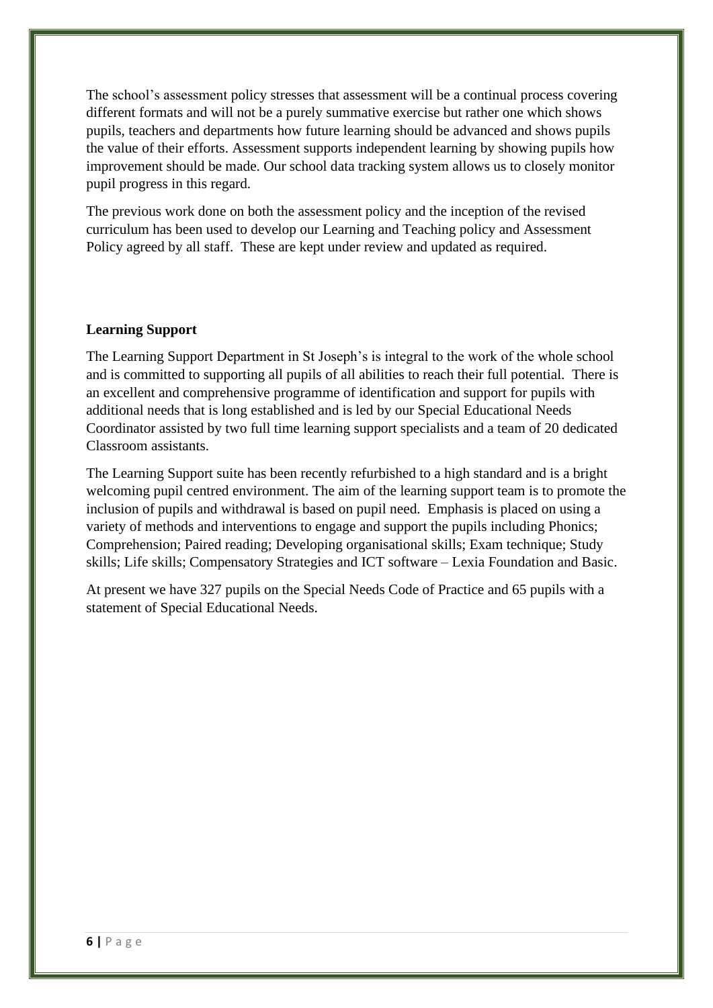The school's assessment policy stresses that assessment will be a continual process covering different formats and will not be a purely summative exercise but rather one which shows pupils, teachers and departments how future learning should be advanced and shows pupils the value of their efforts. Assessment supports independent learning by showing pupils how improvement should be made. Our school data tracking system allows us to closely monitor pupil progress in this regard.

The previous work done on both the assessment policy and the inception of the revised curriculum has been used to develop our Learning and Teaching policy and Assessment Policy agreed by all staff. These are kept under review and updated as required.

#### **Learning Support**

The Learning Support Department in St Joseph's is integral to the work of the whole school and is committed to supporting all pupils of all abilities to reach their full potential. There is an excellent and comprehensive programme of identification and support for pupils with additional needs that is long established and is led by our Special Educational Needs Coordinator assisted by two full time learning support specialists and a team of 20 dedicated Classroom assistants.

The Learning Support suite has been recently refurbished to a high standard and is a bright welcoming pupil centred environment. The aim of the learning support team is to promote the inclusion of pupils and withdrawal is based on pupil need. Emphasis is placed on using a variety of methods and interventions to engage and support the pupils including Phonics; Comprehension; Paired reading; Developing organisational skills; Exam technique; Study skills; Life skills; Compensatory Strategies and ICT software – Lexia Foundation and Basic.

At present we have 327 pupils on the Special Needs Code of Practice and 65 pupils with a statement of Special Educational Needs.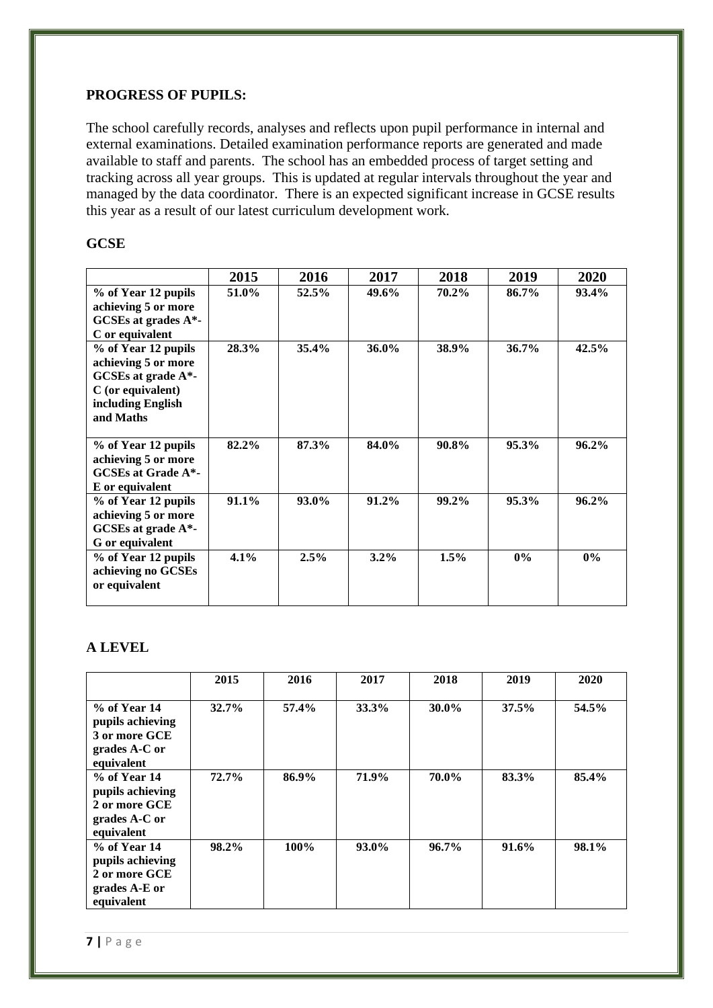# **PROGRESS OF PUPILS:**

The school carefully records, analyses and reflects upon pupil performance in internal and external examinations. Detailed examination performance reports are generated and made available to staff and parents. The school has an embedded process of target setting and tracking across all year groups. This is updated at regular intervals throughout the year and managed by the data coordinator. There is an expected significant increase in GCSE results this year as a result of our latest curriculum development work.

## **GCSE**

|                                                | 2015    | 2016  | 2017    | 2018    | 2019     | 2020  |
|------------------------------------------------|---------|-------|---------|---------|----------|-------|
| % of Year 12 pupils                            | 51.0%   | 52.5% | 49.6%   | 70.2%   | 86.7%    | 93.4% |
| achieving 5 or more<br>GCSEs at grades $A^*$ - |         |       |         |         |          |       |
| C or equivalent                                |         |       |         |         |          |       |
| % of Year 12 pupils                            | 28.3%   | 35.4% | 36.0%   | 38.9%   | $36.7\%$ | 42.5% |
| achieving 5 or more                            |         |       |         |         |          |       |
| GCSEs at grade $A^*$ -                         |         |       |         |         |          |       |
| $C$ (or equivalent)                            |         |       |         |         |          |       |
| including English                              |         |       |         |         |          |       |
| and Maths                                      |         |       |         |         |          |       |
|                                                |         |       |         |         |          |       |
| % of Year 12 pupils                            | 82.2%   | 87.3% | 84.0%   | 90.8%   | 95.3%    | 96.2% |
| achieving 5 or more                            |         |       |         |         |          |       |
| <b>GCSEs at Grade A*-</b>                      |         |       |         |         |          |       |
| E or equivalent                                |         |       |         |         |          |       |
| % of Year 12 pupils                            | 91.1%   | 93.0% | 91.2%   | 99.2%   | 95.3%    | 96.2% |
| achieving 5 or more                            |         |       |         |         |          |       |
| GCSEs at grade A*-                             |         |       |         |         |          |       |
| G or equivalent                                |         |       |         |         |          |       |
| % of Year 12 pupils                            | $4.1\%$ | 2.5%  | $3.2\%$ | $1.5\%$ | $0\%$    | $0\%$ |
| achieving no GCSEs                             |         |       |         |         |          |       |
| or equivalent                                  |         |       |         |         |          |       |
|                                                |         |       |         |         |          |       |

#### **A LEVEL**

|                                                                                    | 2015     | 2016  | 2017     | 2018     | 2019  | 2020  |
|------------------------------------------------------------------------------------|----------|-------|----------|----------|-------|-------|
| $%$ of Year 14<br>pupils achieving<br>3 or more GCE<br>grades A-C or<br>equivalent | 32.7%    | 57.4% | 33.3%    | 30.0%    | 37.5% | 54.5% |
| $%$ of Year 14<br>pupils achieving<br>2 or more GCE<br>grades A-C or<br>equivalent | $72.7\%$ | 86.9% | 71.9%    | 70.0%    | 83.3% | 85.4% |
| $%$ of Year 14<br>pupils achieving<br>2 or more GCE<br>grades A-E or<br>equivalent | $98.2\%$ | 100%  | $93.0\%$ | $96.7\%$ | 91.6% | 98.1% |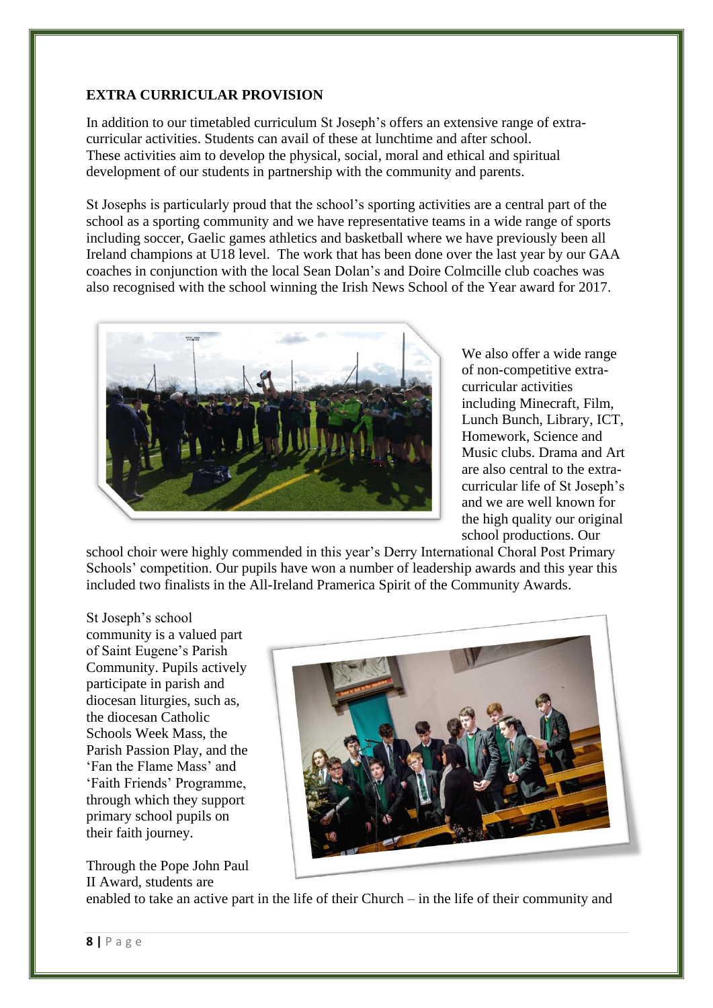# **EXTRA CURRICULAR PROVISION**

In addition to our timetabled curriculum St Joseph's offers an extensive range of extracurricular activities. Students can avail of these at lunchtime and after school. These activities aim to develop the physical, social, moral and ethical and spiritual development of our students in partnership with the community and parents.

St Josephs is particularly proud that the school's sporting activities are a central part of the school as a sporting community and we have representative teams in a wide range of sports including soccer, Gaelic games athletics and basketball where we have previously been all Ireland champions at U18 level. The work that has been done over the last year by our GAA coaches in conjunction with the local Sean Dolan's and Doire Colmcille club coaches was also recognised with the school winning the Irish News School of the Year award for 2017.



We also offer a wide range of non-competitive extracurricular activities including Minecraft, Film, Lunch Bunch, Library, ICT, Homework, Science and Music clubs. Drama and Art are also central to the extracurricular life of St Joseph's and we are well known for the high quality our original school productions. Our

school choir were highly commended in this year's Derry International Choral Post Primary Schools' competition. Our pupils have won a number of leadership awards and this year this included two finalists in the All-Ireland Pramerica Spirit of the Community Awards.

St Joseph's school community is a valued part of Saint Eugene's Parish Community. Pupils actively participate in parish and diocesan liturgies, such as, the diocesan Catholic Schools Week Mass, the Parish Passion Play, and the 'Fan the Flame Mass' and 'Faith Friends' Programme, through which they support primary school pupils on their faith journey.

Through the Pope John Paul II Award, students are



enabled to take an active part in the life of their Church – in the life of their community and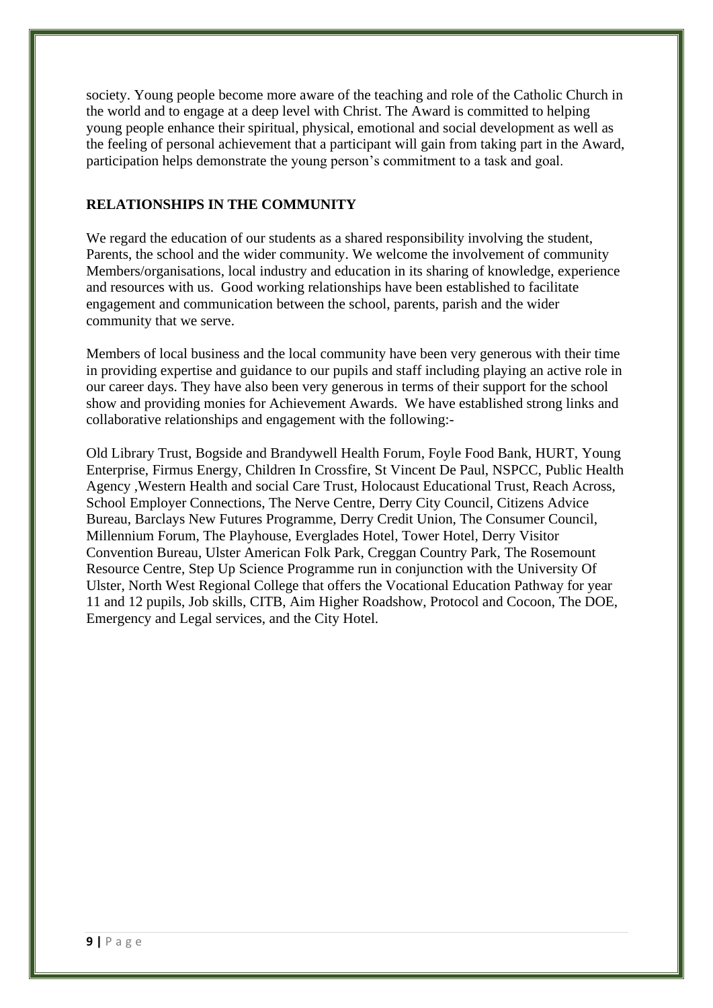society. Young people become more aware of the teaching and role of the Catholic Church in the world and to engage at a deep level with Christ. The Award is committed to helping young people enhance their spiritual, physical, emotional and social development as well as the feeling of personal achievement that a participant will gain from taking part in the Award, participation helps demonstrate the young person's commitment to a task and goal.

#### **RELATIONSHIPS IN THE COMMUNITY**

We regard the education of our students as a shared responsibility involving the student, Parents, the school and the wider community. We welcome the involvement of community Members/organisations, local industry and education in its sharing of knowledge, experience and resources with us. Good working relationships have been established to facilitate engagement and communication between the school, parents, parish and the wider community that we serve.

Members of local business and the local community have been very generous with their time in providing expertise and guidance to our pupils and staff including playing an active role in our career days. They have also been very generous in terms of their support for the school show and providing monies for Achievement Awards. We have established strong links and collaborative relationships and engagement with the following:-

Old Library Trust, Bogside and Brandywell Health Forum, Foyle Food Bank, HURT, Young Enterprise, Firmus Energy, Children In Crossfire, St Vincent De Paul, NSPCC, Public Health Agency ,Western Health and social Care Trust, Holocaust Educational Trust, Reach Across, School Employer Connections, The Nerve Centre, Derry City Council, Citizens Advice Bureau, Barclays New Futures Programme, Derry Credit Union, The Consumer Council, Millennium Forum, The Playhouse, Everglades Hotel, Tower Hotel, Derry Visitor Convention Bureau, Ulster American Folk Park, Creggan Country Park, The Rosemount Resource Centre, Step Up Science Programme run in conjunction with the University Of Ulster, North West Regional College that offers the Vocational Education Pathway for year 11 and 12 pupils, Job skills, CITB, Aim Higher Roadshow, Protocol and Cocoon, The DOE, Emergency and Legal services, and the City Hotel.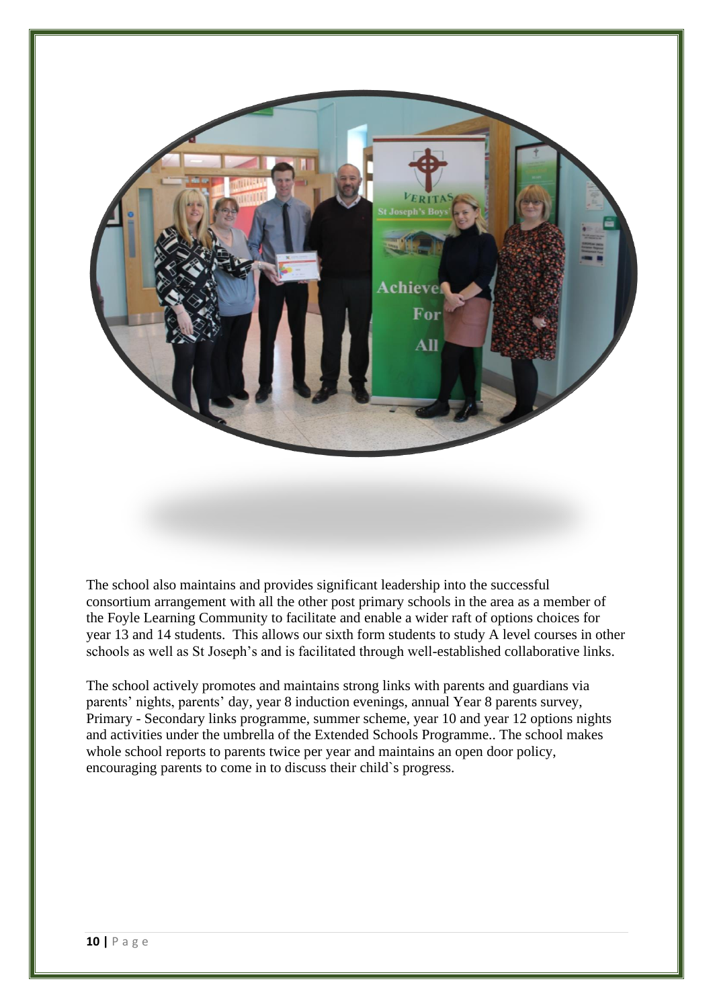

The school also maintains and provides significant leadership into the successful consortium arrangement with all the other post primary schools in the area as a member of the Foyle Learning Community to facilitate and enable a wider raft of options choices for year 13 and 14 students. This allows our sixth form students to study A level courses in other schools as well as St Joseph's and is facilitated through well-established collaborative links.

The school actively promotes and maintains strong links with parents and guardians via parents' nights, parents' day, year 8 induction evenings, annual Year 8 parents survey, Primary - Secondary links programme, summer scheme, year 10 and year 12 options nights and activities under the umbrella of the Extended Schools Programme.. The school makes whole school reports to parents twice per year and maintains an open door policy, encouraging parents to come in to discuss their child`s progress.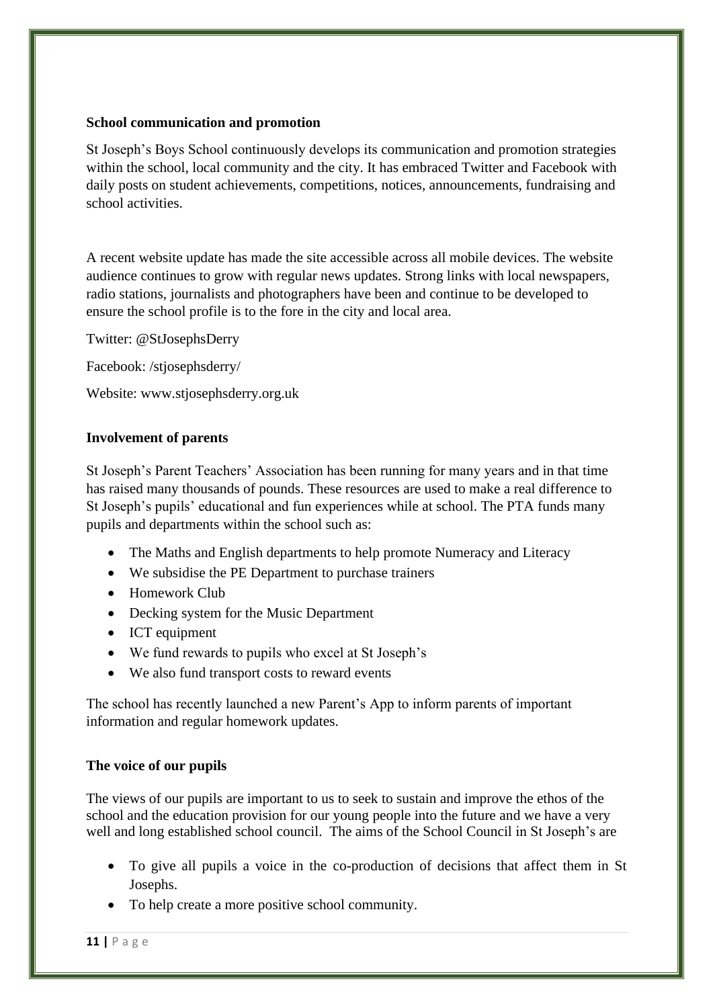### **School communication and promotion**

St Joseph's Boys School continuously develops its communication and promotion strategies within the school, local community and the city. It has embraced Twitter and Facebook with daily posts on student achievements, competitions, notices, announcements, fundraising and school activities.

A recent website update has made the site accessible across all mobile devices. The website audience continues to grow with regular news updates. Strong links with local newspapers, radio stations, journalists and photographers have been and continue to be developed to ensure the school profile is to the fore in the city and local area.

Twitter: @StJosephsDerry

Facebook: /stjosephsderry/

Website: www.stjosephsderry.org.uk

## **Involvement of parents**

St Joseph's Parent Teachers' Association has been running for many years and in that time has raised many thousands of pounds. These resources are used to make a real difference to St Joseph's pupils' educational and fun experiences while at school. The PTA funds many pupils and departments within the school such as:

- The Maths and English departments to help promote Numeracy and Literacy
- We subsidise the PE Department to purchase trainers
- Homework Club
- Decking system for the Music Department
- ICT equipment
- We fund rewards to pupils who excel at St Joseph's
- We also fund transport costs to reward events

The school has recently launched a new Parent's App to inform parents of important information and regular homework updates.

# **The voice of our pupils**

The views of our pupils are important to us to seek to sustain and improve the ethos of the school and the education provision for our young people into the future and we have a very well and long established school council. The aims of the School Council in St Joseph's are

- To give all pupils a voice in the co-production of decisions that affect them in St Josephs.
- To help create a more positive school community.